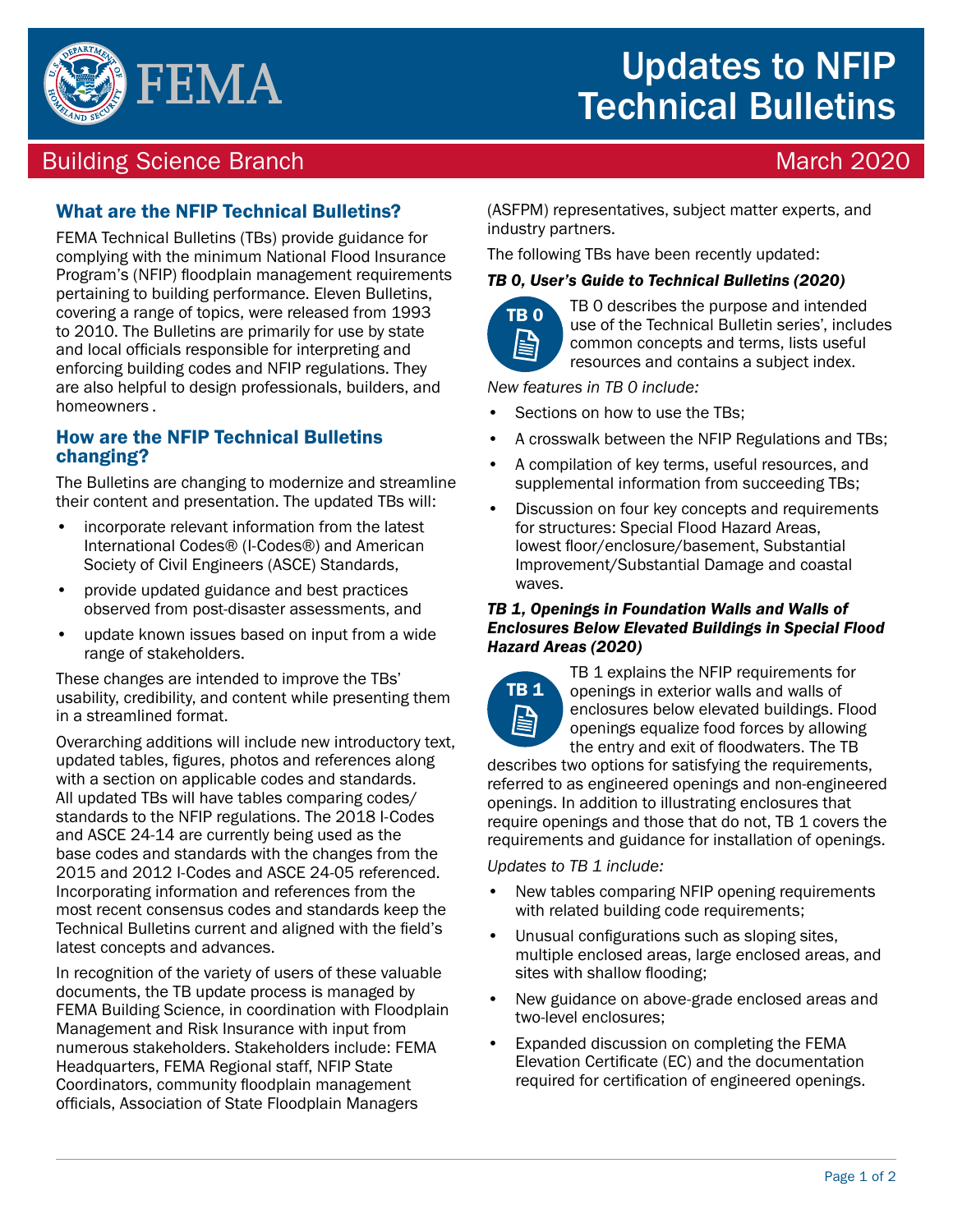

# Updates to NFIP Technical Bulletins

## Building Science Branch March 2020 and the United States of the March 2020

## What are the NFIP Technical Bulletins?

FEMA Technical Bulletins (TBs) provide guidance for complying with the minimum National Flood Insurance Program's (NFIP) floodplain management requirements pertaining to building performance. Eleven Bulletins, covering a range of topics, were released from 1993 to 2010. The Bulletins are primarily for use by state and local officials responsible for interpreting and enforcing building codes and NFIP regulations. They are also helpful to design professionals, builders, and homeowners .

### How are the NFIP Technical Bulletins changing?

The Bulletins are changing to modernize and streamline their content and presentation. The updated TBs will:

- incorporate relevant information from the latest International Codes® (I-Codes®) and American Society of Civil Engineers (ASCE) Standards,
- provide updated guidance and best practices observed from post-disaster assessments, and
- update known issues based on input from a wide range of stakeholders.

These changes are intended to improve the TBs' usability, credibility, and content while presenting them in a streamlined format.

Overarching additions will include new introductory text, updated tables, fgures, photos and references along with a section on applicable codes and standards. All updated TBs will have tables comparing codes/ standards to the NFIP regulations. The 2018 I-Codes and ASCE 24-14 are currently being used as the base codes and standards with the changes from the 2015 and 2012 I-Codes and ASCE 24-05 referenced. Incorporating information and references from the most recent consensus codes and standards keep the Technical Bulletins current and aligned with the feld's latest concepts and advances.

In recognition of the variety of users of these valuable documents, the TB update process is managed by FEMA Building Science, in coordination with Floodplain Management and Risk Insurance with input from numerous stakeholders. Stakeholders include: FEMA Headquarters, FEMA Regional staff, NFIP State Coordinators, community floodplain management officials, Association of State Floodplain Managers

(ASFPM) representatives, subject matter experts, and industry partners.

The following TBs have been recently updated:

#### *TB 0, User's Guide to Technical Bulletins (2020)*



TB 0 TB 0 describes the purpose and intended use of the Technical Bulletin series', includes common concepts and terms, lists useful resources and contains a subject index.

*New features in TB 0 include:* 

- Sections on how to use the TBs:
- A crosswalk between the NFIP Regulations and TBs;
- A compilation of key terms, useful resources, and supplemental information from succeeding TBs;
- Discussion on four key concepts and requirements for structures: Special Flood Hazard Areas, lowest floor/enclosure/basement, Substantial Improvement/Substantial Damage and coastal waves.

#### *TB 1, Openings in Foundation Walls and Walls of Enclosures Below Elevated Buildings in Special Flood Hazard Areas (2020)*



TB 1 explains the NFIP requirements for openings in exterior walls and walls of enclosures below elevated buildings. Flood openings equalize food forces by allowing the entry and exit of foodwaters. The TB

describes two options for satisfying the requirements, referred to as engineered openings and non-engineered openings. In addition to illustrating enclosures that require openings and those that do not, TB 1 covers the requirements and guidance for installation of openings.

*Updates to TB 1 include:* 

- New tables comparing NFIP opening requirements with related building code requirements;
- Unusual configurations such as sloping sites. multiple enclosed areas, large enclosed areas, and sites with shallow flooding;
- New guidance on above-grade enclosed areas and two-level enclosures;
- Expanded discussion on completing the FEMA Elevation Certifcate (EC) and the documentation required for certification of engineered openings.